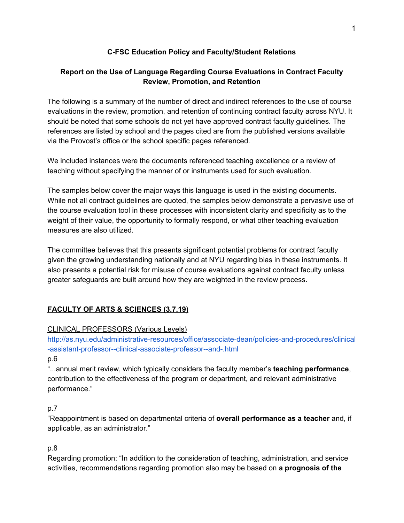#### **C-FSC Education Policy and Faculty/Student Relations**

### **Report on the Use of Language Regarding Course Evaluations in Contract Faculty Review, Promotion, and Retention**

The following is a summary of the number of direct and indirect references to the use of course evaluations in the review, promotion, and retention of continuing contract faculty across NYU. It should be noted that some schools do not yet have approved contract faculty guidelines. The references are listed by school and the pages cited are from the published versions available via the Provost's office or the school specific pages referenced.

We included instances were the documents referenced teaching excellence or a review of teaching without specifying the manner of or instruments used for such evaluation.

The samples below cover the major ways this language is used in the existing documents. While not all contract guidelines are quoted, the samples below demonstrate a pervasive use of the course evaluation tool in these processes with inconsistent clarity and specificity as to the weight of their value, the opportunity to formally respond, or what other teaching evaluation measures are also utilized.

The committee believes that this presents significant potential problems for contract faculty given the growing understanding nationally and at NYU regarding bias in these instruments. It also presents a potential risk for misuse of course evaluations against contract faculty unless greater safeguards are built around how they are weighted in the review process.

## **FACULTY OF ARTS & SCIENCES (3.7.19)**

### CLINICAL PROFESSORS (Various Levels)

[http://as.nyu.edu/administrative-resources/office/associate-dean/policies-and-procedures/clinical](http://as.nyu.edu/administrative-resources/office/associate-dean/policies-and-procedures/clinical-assistant-professor--clinical-associate-professor--and-.html) [-assistant-professor--clinical-associate-professor--and-.html](http://as.nyu.edu/administrative-resources/office/associate-dean/policies-and-procedures/clinical-assistant-professor--clinical-associate-professor--and-.html)

#### p.6

"...annual merit review, which typically considers the faculty member's **teaching performance**, contribution to the effectiveness of the program or department, and relevant administrative performance."

### p.7

"Reappointment is based on departmental criteria of **overall performance as a teacher** and, if applicable, as an administrator."

### p.8

Regarding promotion: "In addition to the consideration of teaching, administration, and service activities, recommendations regarding promotion also may be based on **a prognosis of the**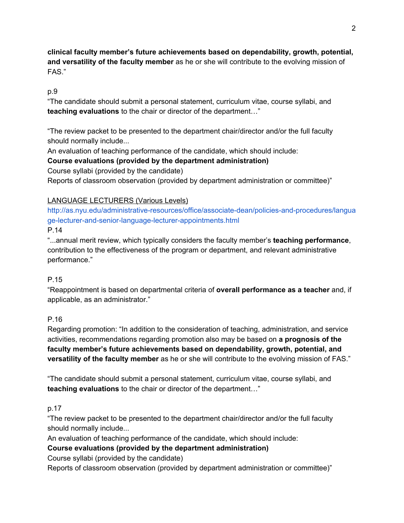**clinical faculty member's future achievements based on dependability, growth, potential, and versatility of the faculty member** as he or she will contribute to the evolving mission of FAS."

#### p.9

"The candidate should submit a personal statement, curriculum vitae, course syllabi, and **teaching evaluations** to the chair or director of the department…"

"The review packet to be presented to the department chair/director and/or the full faculty should normally include...

An evaluation of teaching performance of the candidate, which should include:

### **Course evaluations (provided by the department administration)**

Course syllabi (provided by the candidate)

Reports of classroom observation (provided by department administration or committee)"

#### LANGUAGE LECTURERS (Various Levels)

[http://as.nyu.edu/administrative-resources/office/associate-dean/policies-and-procedures/langua](http://as.nyu.edu/administrative-resources/office/associate-dean/policies-and-procedures/language-lecturer-and-senior-language-lecturer-appointments.html) [ge-lecturer-and-senior-language-lecturer-appointments.html](http://as.nyu.edu/administrative-resources/office/associate-dean/policies-and-procedures/language-lecturer-and-senior-language-lecturer-appointments.html)

#### P.14

"...annual merit review, which typically considers the faculty member's **teaching performance**, contribution to the effectiveness of the program or department, and relevant administrative performance."

### P.15

"Reappointment is based on departmental criteria of **overall performance as a teacher** and, if applicable, as an administrator."

#### P.16

Regarding promotion: "In addition to the consideration of teaching, administration, and service activities, recommendations regarding promotion also may be based on **a prognosis of the faculty member's future achievements based on dependability, growth, potential, and versatility of the faculty member** as he or she will contribute to the evolving mission of FAS."

"The candidate should submit a personal statement, curriculum vitae, course syllabi, and **teaching evaluations** to the chair or director of the department…"

### p.17

"The review packet to be presented to the department chair/director and/or the full faculty should normally include...

An evaluation of teaching performance of the candidate, which should include:

#### **Course evaluations (provided by the department administration)**

Course syllabi (provided by the candidate)

Reports of classroom observation (provided by department administration or committee)"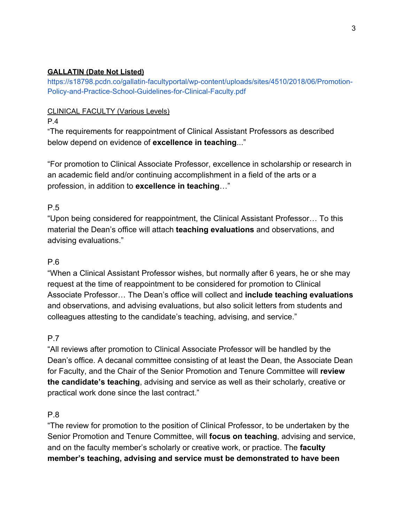### **GALLATIN (Date Not Listed)**

[https://s18798.pcdn.co/gallatin-facultyportal/wp-content/uploads/sites/4510/2018/06/Promotion-](https://s18798.pcdn.co/gallatin-facultyportal/wp-content/uploads/sites/4510/2018/06/Promotion-Policy-and-Practice-School-Guidelines-for-Clinical-Faculty.pdf)[Policy-and-Practice-School-Guidelines-for-Clinical-Faculty.pdf](https://s18798.pcdn.co/gallatin-facultyportal/wp-content/uploads/sites/4510/2018/06/Promotion-Policy-and-Practice-School-Guidelines-for-Clinical-Faculty.pdf)

### CLINICAL FACULTY (Various Levels)

P.4

"The requirements for reappointment of Clinical Assistant Professors as described below depend on evidence of **excellence in teaching**..."

"For promotion to Clinical Associate Professor, excellence in scholarship or research in an academic field and/or continuing accomplishment in a field of the arts or a profession, in addition to **excellence in teaching**…"

## P.5

"Upon being considered for reappointment, the Clinical Assistant Professor… To this material the Dean's office will attach **teaching evaluations** and observations, and advising evaluations."

## P.6

"When a Clinical Assistant Professor wishes, but normally after 6 years, he or she may request at the time of reappointment to be considered for promotion to Clinical Associate Professor… The Dean's office will collect and **include teaching evaluations** and observations, and advising evaluations, but also solicit letters from students and colleagues attesting to the candidate's teaching, advising, and service."

## P.7

"All reviews after promotion to Clinical Associate Professor will be handled by the Dean's office. A decanal committee consisting of at least the Dean, the Associate Dean for Faculty, and the Chair of the Senior Promotion and Tenure Committee will **review the candidate's teaching**, advising and service as well as their scholarly, creative or practical work done since the last contract."

## P.8

"The review for promotion to the position of Clinical Professor, to be undertaken by the Senior Promotion and Tenure Committee, will **focus on teaching**, advising and service, and on the faculty member's scholarly or creative work, or practice. The **faculty member's teaching, advising and service must be demonstrated to have been**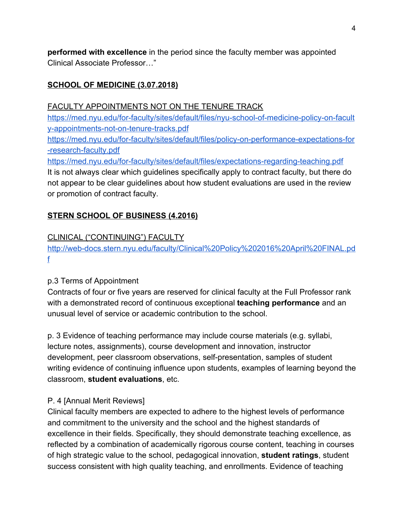**performed with excellence** in the period since the faculty member was appointed Clinical Associate Professor…"

## **SCHOOL OF MEDICINE (3.07.2018)**

FACULTY APPOINTMENTS NOT ON THE TENURE TRACK

[https://med.nyu.edu/for-faculty/sites/default/files/nyu-school-of-medicine-policy-on-facult](https://med.nyu.edu/for-faculty/sites/default/files/nyu-school-of-medicine-policy-on-faculty-appointments-not-on-tenure-tracks.pdf) [y-appointments-not-on-tenure-tracks.pdf](https://med.nyu.edu/for-faculty/sites/default/files/nyu-school-of-medicine-policy-on-faculty-appointments-not-on-tenure-tracks.pdf)

[https://med.nyu.edu/for-faculty/sites/default/files/policy-on-performance-expectations-for](https://med.nyu.edu/for-faculty/sites/default/files/policy-on-performance-expectations-for-research-faculty.pdf) [-research-faculty.pdf](https://med.nyu.edu/for-faculty/sites/default/files/policy-on-performance-expectations-for-research-faculty.pdf)

<https://med.nyu.edu/for-faculty/sites/default/files/expectations-regarding-teaching.pdf> It is not always clear which guidelines specifically apply to contract faculty, but there do not appear to be clear guidelines about how student evaluations are used in the review or promotion of contract faculty.

### **STERN SCHOOL OF BUSINESS (4.2016)**

### CLINICAL ("CONTINUING") FACULTY

[http://web-docs.stern.nyu.edu/faculty/Clinical%20Policy%202016%20April%20FINAL.pd](http://web-docs.stern.nyu.edu/faculty/Clinical%20Policy%202016%20April%20FINAL.pdf) [f](http://web-docs.stern.nyu.edu/faculty/Clinical%20Policy%202016%20April%20FINAL.pdf)

### p.3 Terms of Appointment

Contracts of four or five years are reserved for clinical faculty at the Full Professor rank with a demonstrated record of continuous exceptional **teaching performance** and an unusual level of service or academic contribution to the school.

p. 3 Evidence of teaching performance may include course materials (e.g. syllabi, lecture notes, assignments), course development and innovation, instructor development, peer classroom observations, self-presentation, samples of student writing evidence of continuing influence upon students, examples of learning beyond the classroom, **student evaluations**, etc.

### P. 4 [Annual Merit Reviews]

Clinical faculty members are expected to adhere to the highest levels of performance and commitment to the university and the school and the highest standards of excellence in their fields. Specifically, they should demonstrate teaching excellence, as reflected by a combination of academically rigorous course content, teaching in courses of high strategic value to the school, pedagogical innovation, **student ratings**, student success consistent with high quality teaching, and enrollments. Evidence of teaching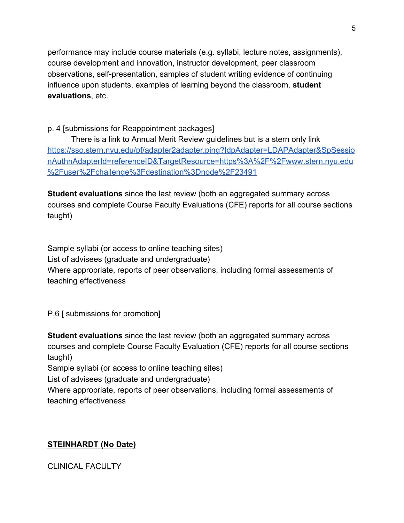performance may include course materials (e.g. syllabi, lecture notes, assignments), course development and innovation, instructor development, peer classroom observations, self-presentation, samples of student writing evidence of continuing influence upon students, examples of learning beyond the classroom, **student evaluations**, etc.

### p. 4 [submissions for Reappointment packages]

There is a link to Annual Merit Review guidelines but is a stern only link [https://sso.stern.nyu.edu/pf/adapter2adapter.ping?IdpAdapter=LDAPAdapter&SpSessio](https://sso.stern.nyu.edu/pf/adapter2adapter.ping?IdpAdapter=LDAPAdapter&SpSessionAuthnAdapterId=referenceID&TargetResource=https%3A%2F%2Fwww.stern.nyu.edu%2Fuser%2Fchallenge%3Fdestination%3Dnode%2F23491) [nAuthnAdapterId=referenceID&TargetResource=https%3A%2F%2Fwww.stern.nyu.edu](https://sso.stern.nyu.edu/pf/adapter2adapter.ping?IdpAdapter=LDAPAdapter&SpSessionAuthnAdapterId=referenceID&TargetResource=https%3A%2F%2Fwww.stern.nyu.edu%2Fuser%2Fchallenge%3Fdestination%3Dnode%2F23491) [%2Fuser%2Fchallenge%3Fdestination%3Dnode%2F23491](https://sso.stern.nyu.edu/pf/adapter2adapter.ping?IdpAdapter=LDAPAdapter&SpSessionAuthnAdapterId=referenceID&TargetResource=https%3A%2F%2Fwww.stern.nyu.edu%2Fuser%2Fchallenge%3Fdestination%3Dnode%2F23491)

**Student evaluations** since the last review (both an aggregated summary across courses and complete Course Faculty Evaluations (CFE) reports for all course sections taught)

Sample syllabi (or access to online teaching sites) List of advisees (graduate and undergraduate) Where appropriate, reports of peer observations, including formal assessments of teaching effectiveness

P.6 [ submissions for promotion]

**Student evaluations** since the last review (both an aggregated summary across courses and complete Course Faculty Evaluation (CFE) reports for all course sections taught)

Sample syllabi (or access to online teaching sites)

List of advisees (graduate and undergraduate)

Where appropriate, reports of peer observations, including formal assessments of teaching effectiveness

## **STEINHARDT (No Date)**

### CLINICAL FACULTY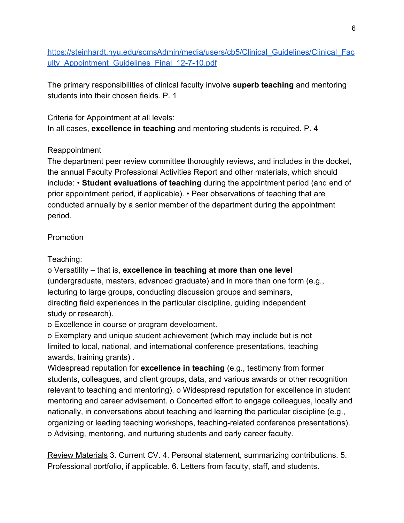[https://steinhardt.nyu.edu/scmsAdmin/media/users/cb5/Clinical\\_Guidelines/Clinical\\_Fac](https://steinhardt.nyu.edu/scmsAdmin/media/users/cb5/Clinical_Guidelines/Clinical_Faculty_Appointment_Guidelines_Final_12-7-10.pdf) ulty Appointment Guidelines Final 12-7-10.pdf

The primary responsibilities of clinical faculty involve **superb teaching** and mentoring students into their chosen fields. P. 1

Criteria for Appointment at all levels: In all cases, **excellence in teaching** and mentoring students is required. P. 4

# Reappointment

The department peer review committee thoroughly reviews, and includes in the docket, the annual Faculty Professional Activities Report and other materials, which should include: • **Student evaluations of teaching** during the appointment period (and end of prior appointment period, if applicable). • Peer observations of teaching that are conducted annually by a senior member of the department during the appointment period.

# Promotion

Teaching:

o Versatility – that is, **excellence in teaching at more than one level** (undergraduate, masters, advanced graduate) and in more than one form (e.g., lecturing to large groups, conducting discussion groups and seminars, directing field experiences in the particular discipline, guiding independent study or research).

o Excellence in course or program development.

o Exemplary and unique student achievement (which may include but is not limited to local, national, and international conference presentations, teaching awards, training grants) .

Widespread reputation for **excellence in teaching** (e.g., testimony from former students, colleagues, and client groups, data, and various awards or other recognition relevant to teaching and mentoring). o Widespread reputation for excellence in student mentoring and career advisement. o Concerted effort to engage colleagues, locally and nationally, in conversations about teaching and learning the particular discipline (e.g., organizing or leading teaching workshops, teaching-related conference presentations). o Advising, mentoring, and nurturing students and early career faculty.

Review Materials 3. Current CV. 4. Personal statement, summarizing contributions. 5. Professional portfolio, if applicable. 6. Letters from faculty, staff, and students.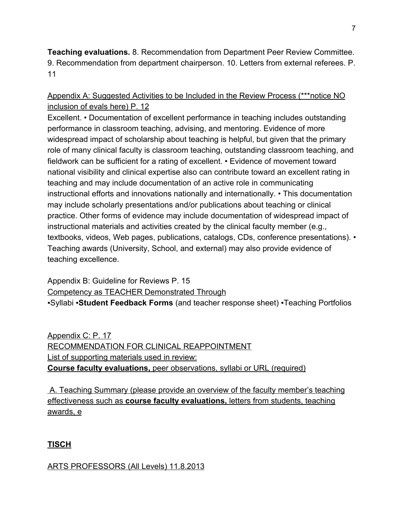**Teaching evaluations.** 8. Recommendation from Department Peer Review Committee. 9. Recommendation from department chairperson. 10. Letters from external referees. P. 11

Appendix A: Suggested Activities to be Included in the Review Process (\*\*\*notice NO inclusion of evals here) P. 12

Excellent. • Documentation of excellent performance in teaching includes outstanding performance in classroom teaching, advising, and mentoring. Evidence of more widespread impact of scholarship about teaching is helpful, but given that the primary role of many clinical faculty is classroom teaching, outstanding classroom teaching, and fieldwork can be sufficient for a rating of excellent. • Evidence of movement toward national visibility and clinical expertise also can contribute toward an excellent rating in teaching and may include documentation of an active role in communicating instructional efforts and innovations nationally and internationally. • This documentation may include scholarly presentations and/or publications about teaching or clinical practice. Other forms of evidence may include documentation of widespread impact of instructional materials and activities created by the clinical faculty member (e.g., textbooks, videos, Web pages, publications, catalogs, CDs, conference presentations). • Teaching awards (University, School, and external) may also provide evidence of teaching excellence.

Appendix B: Guideline for Reviews P. 15 Competency as TEACHER Demonstrated Through ▪Syllabi ▪**Student Feedback Forms** (and teacher response sheet) ▪Teaching Portfolios

Appendix C: P. 17 RECOMMENDATION FOR CLINICAL REAPPOINTMENT List of supporting materials used in review: **Course faculty evaluations,** peer observations, syllabi or URL (required)

 A. Teaching Summary (please provide an overview of the faculty member's teaching effectiveness such as **course faculty evaluations,** letters from students, teaching awards, e

**TISCH**

ARTS PROFESSORS (All Levels) 11.8.2013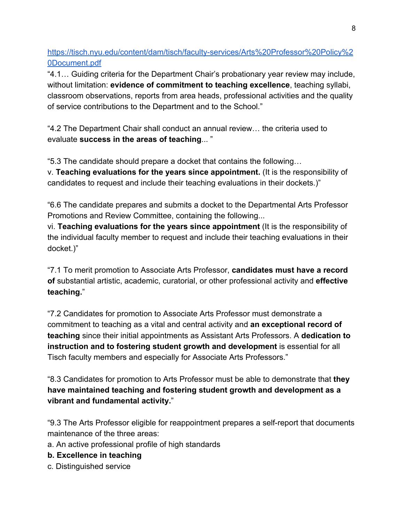[https://tisch.nyu.edu/content/dam/tisch/faculty-services/Arts%20Professor%20Policy%2](https://tisch.nyu.edu/content/dam/tisch/faculty-services/Arts%20Professor%20Policy%20Document.pdf) [0Document.pdf](https://tisch.nyu.edu/content/dam/tisch/faculty-services/Arts%20Professor%20Policy%20Document.pdf)

"4.1… Guiding criteria for the Department Chair's probationary year review may include, without limitation: **evidence of commitment to teaching excellence**, teaching syllabi, classroom observations, reports from area heads, professional activities and the quality of service contributions to the Department and to the School."

"4.2 The Department Chair shall conduct an annual review… the criteria used to evaluate **success in the areas of teaching**... "

"5.3 The candidate should prepare a docket that contains the following…

v. **Teaching evaluations for the years since appointment.** (It is the responsibility of candidates to request and include their teaching evaluations in their dockets.)"

"6.6 The candidate prepares and submits a docket to the Departmental Arts Professor Promotions and Review Committee, containing the following...

vi. **Teaching evaluations for the years since appointment** (It is the responsibility of the individual faculty member to request and include their teaching evaluations in their docket.)"

"7.1 To merit promotion to Associate Arts Professor, **candidates must have a record of** substantial artistic, academic, curatorial, or other professional activity and **effective teaching.**"

"7.2 Candidates for promotion to Associate Arts Professor must demonstrate a commitment to teaching as a vital and central activity and **an exceptional record of teaching** since their initial appointments as Assistant Arts Professors. A **dedication to instruction and to fostering student growth and development** is essential for all Tisch faculty members and especially for Associate Arts Professors."

"8.3 Candidates for promotion to Arts Professor must be able to demonstrate that **they have maintained teaching and fostering student growth and development as a vibrant and fundamental activity.**"

"9.3 The Arts Professor eligible for reappointment prepares a self-report that documents maintenance of the three areas:

- a. An active professional profile of high standards
- **b. Excellence in teaching**
- c. Distinguished service